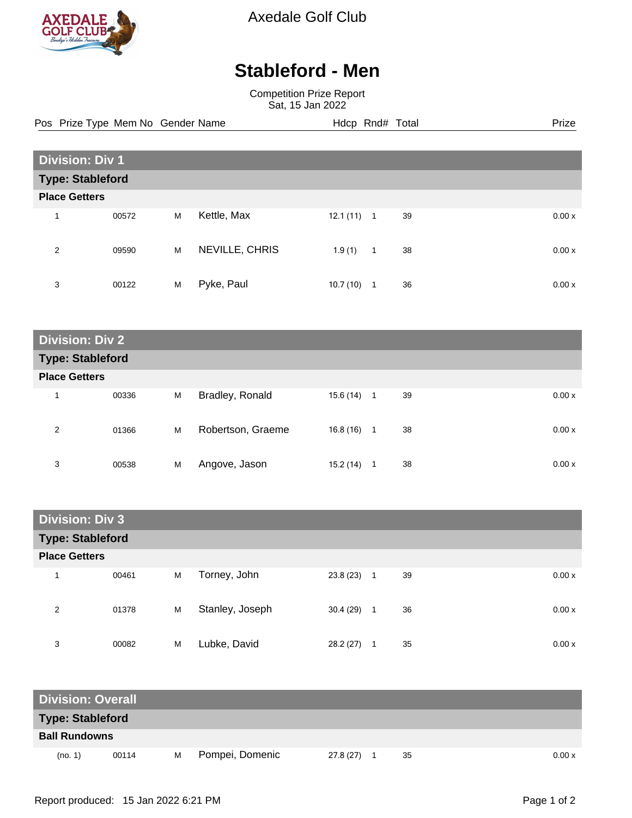

Axedale Golf Club

## **Stableford - Men**

Competition Prize Report Sat, 15 Jan 2022

Pos Prize Type Mem No Gender Name **Hdcp Rnd# Total** Prize Prize

| <b>Division: Div 1</b>  |       |   |                |          |                |    |  |        |  |
|-------------------------|-------|---|----------------|----------|----------------|----|--|--------|--|
| <b>Type: Stableford</b> |       |   |                |          |                |    |  |        |  |
| <b>Place Getters</b>    |       |   |                |          |                |    |  |        |  |
| 1                       | 00572 | M | Kettle, Max    | 12.1(11) | $\overline{1}$ | 39 |  | 0.00x  |  |
| 2                       | 09590 | M | NEVILLE, CHRIS | 1.9(1)   | $\mathbf{1}$   | 38 |  | 0.00 x |  |
| 3                       | 00122 | M | Pyke, Paul     | 10.7(10) | 1              | 36 |  | 0.00x  |  |

| <b>Division: Div 2</b>  |       |   |                   |           |   |    |       |
|-------------------------|-------|---|-------------------|-----------|---|----|-------|
| <b>Type: Stableford</b> |       |   |                   |           |   |    |       |
| <b>Place Getters</b>    |       |   |                   |           |   |    |       |
| 1                       | 00336 | M | Bradley, Ronald   | 15.6 (14) | 1 | 39 | 0.00x |
| 2                       | 01366 | M | Robertson, Graeme | 16.8 (16) | 1 | 38 | 0.00x |
| 3                       | 00538 | M | Angove, Jason     | 15.2 (14) | 1 | 38 | 0.00x |

| <b>Division: Div 3</b>  |       |   |                 |           |                |    |       |
|-------------------------|-------|---|-----------------|-----------|----------------|----|-------|
| <b>Type: Stableford</b> |       |   |                 |           |                |    |       |
| <b>Place Getters</b>    |       |   |                 |           |                |    |       |
| 1                       | 00461 | M | Torney, John    | 23.8(23)  | $\overline{1}$ | 39 | 0.00x |
| 2                       | 01378 | M | Stanley, Joseph | 30.4(29)  | $\blacksquare$ | 36 | 0.00x |
| 3                       | 00082 | M | Lubke, David    | 28.2 (27) | -1             | 35 | 0.00x |

| <b>Division: Overall</b> |       |   |                 |           |    |        |
|--------------------------|-------|---|-----------------|-----------|----|--------|
| <b>Type: Stableford</b>  |       |   |                 |           |    |        |
| <b>Ball Rundowns</b>     |       |   |                 |           |    |        |
| (no. 1)                  | 00114 | м | Pompei, Domenic | 27.8 (27) | 35 | 0.00 x |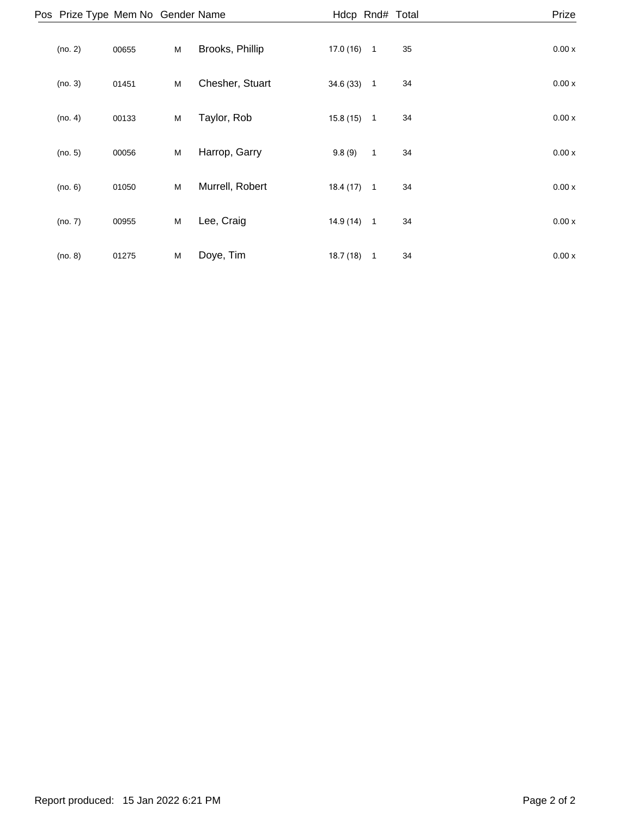| Pos Prize Type Mem No Gender Name |       |   |                 |           | Hdcp Rnd# Total |    | Prize |
|-----------------------------------|-------|---|-----------------|-----------|-----------------|----|-------|
| (no. 2)                           | 00655 | M | Brooks, Phillip | 17.0(16)  | $\overline{1}$  | 35 | 0.00x |
| (no. 3)                           | 01451 | M | Chesher, Stuart | 34.6 (33) | $\overline{1}$  | 34 | 0.00x |
| (no. 4)                           | 00133 | M | Taylor, Rob     | 15.8(15)  | $\overline{1}$  | 34 | 0.00x |
| (no. 5)                           | 00056 | M | Harrop, Garry   | 9.8(9)    | $\mathbf{1}$    | 34 | 0.00x |
| (no. 6)                           | 01050 | M | Murrell, Robert | 18.4(17)  | $\overline{1}$  | 34 | 0.00x |
| (no. 7)                           | 00955 | M | Lee, Craig      | 14.9 (14) | $\overline{1}$  | 34 | 0.00x |
| (no. 8)                           | 01275 | M | Doye, Tim       | 18.7(18)  | $\mathbf{1}$    | 34 | 0.00x |